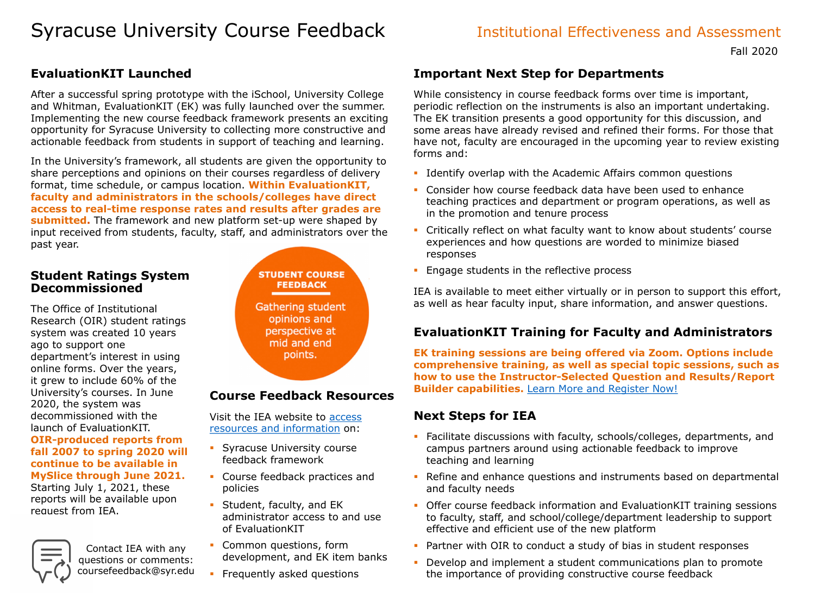### Fall 2020

# Syracuse University Course Feedback **Institutional Effectiveness and Assessment**

## **EvaluationKIT Launched**

After a successful spring prototype with the iSchool, University College and Whitman, EvaluationKIT (EK) was fully launched over the summer. Implementing the new course feedback framework presents an exciting opportunity for Syracuse University to collecting more constructive and actionable feedback from students in support of teaching and learning.

In the University's framework, all students are given the opportunity to share perceptions and opinions on their courses regardless of delivery format, time schedule, or campus location. **Within EvaluationKIT, faculty and administrators in the schools/colleges have direct access to real-time response rates and results after grades are submitted.** The framework and new platform set-up were shaped by input received from students, faculty, staff, and administrators over the past year.

## **Student Ratings System Decommissioned**

The Office of Institutional Research (OIR) student ratings system was created 10 years ago to support one department's interest in using online forms. Over the years, it grew to include 60% of the University's courses. In June 2020, the system was decommissioned with the launch of EvaluationKIT. **OIR-produced reports from fall 2007 to spring 2020 will continue to be available in MySlice through June 2021.**  Starting July 1, 2021, these reports will be available upon request from IEA.

- **IDENTIFY OVER AND With the Academic Affairs common questions**
- **EXPLEM** Consider how course feedback data have been used to enhance teaching practices and department or program operations, as well as in the promotion and tenure process
	- Critically reflect on what faculty want to know about students' course experiences and how questions are worded to minimize biased responses
	- Engage students in the reflective process

## **Course Feedback Resources**

Visit the IEA website to access [resources and information](https://effectiveness.syr.edu/course-feedback/) on:

- Syracuse University course feedback framework
- Course feedback practices and policies
- Student, faculty, and EK administrator access to and use of EvaluationKIT
- Common questions, form development, and EK item banks
- Frequently asked questions

## **Important Next Step for Departments**

While consistency in course feedback forms over time is important, periodic reflection on the instruments is also an important undertaking. The EK transition presents a good opportunity for this discussion, and some areas have already revised and refined their forms. For those that have not, faculty are encouraged in the upcoming year to review existing forms and:

IEA is available to meet either virtually or in person to support this effort, as well as hear faculty input, share information, and answer questions.

## **EvaluationKIT Training for Faculty and Administrators**

**EK training sessions are being offered via Zoom. Options include comprehensive training, as well as special topic sessions, such as how to use the Instructor-Selected Question and Results/Report Builder capabilities.** [Learn More and Register Now!](https://syracuseuniversity.qualtrics.com/jfe/form/SV_3D9DIkHe6r4lFat)

## **Next Steps for IEA**

- Facilitate discussions with faculty, schools/colleges, departments, and campus partners around using actionable feedback to improve teaching and learning
- Refine and enhance questions and instruments based on departmental and faculty needs
- Offer course feedback information and EvaluationKIT training sessions to faculty, staff, and school/college/department leadership to support effective and efficient use of the new platform
- Partner with OIR to conduct a study of bias in student responses
- Develop and implement a student communications plan to promote the importance of providing constructive course feedback

Contact IEA with any questions or comments: coursefeedback@syr.edu

## **STUDENT COURSE FEEDBACK**

**Gathering student** opinions and perspective at mid and end points.